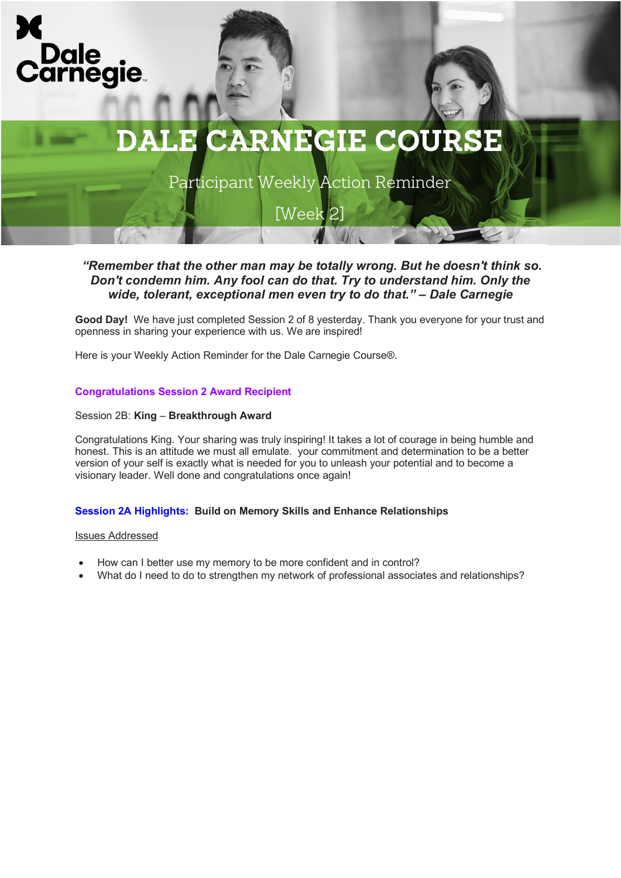

Participant Weekly Action Reminder

[Week 2]

## *"Remember that the other man may be totally wrong. But he doesn't think so. Don't condemn him. Any fool can do that. Try to understand him. Only the wide, tolerant, exceptional men even try to do that." – Dale Carnegie*

**Good Day!** We have just completed Session 2 of 8 yesterday. Thank you everyone for your trust and openness in sharing your experience with us. We are inspired!

Here is your Weekly Action Reminder for the Dale Carnegie Course®.

### **Congratulations Session 2 Award Recipient**

#### Session 2B: **King** – **Breakthrough Award**

Congratulations King. Your sharing was truly inspiring! It takes a lot of courage in being humble and honest. This is an attitude we must all emulate. your commitment and determination to be a better version of your self is exactly what is needed for you to unleash your potential and to become a visionary leader. Well done and congratulations once again!

### **Session 2A Highlights: Build on Memory Skills and Enhance Relationships**

#### Issues Addressed

- How can I better use my memory to be more confident and in control?
- What do I need to do to strengthen my network of professional associates and relationships?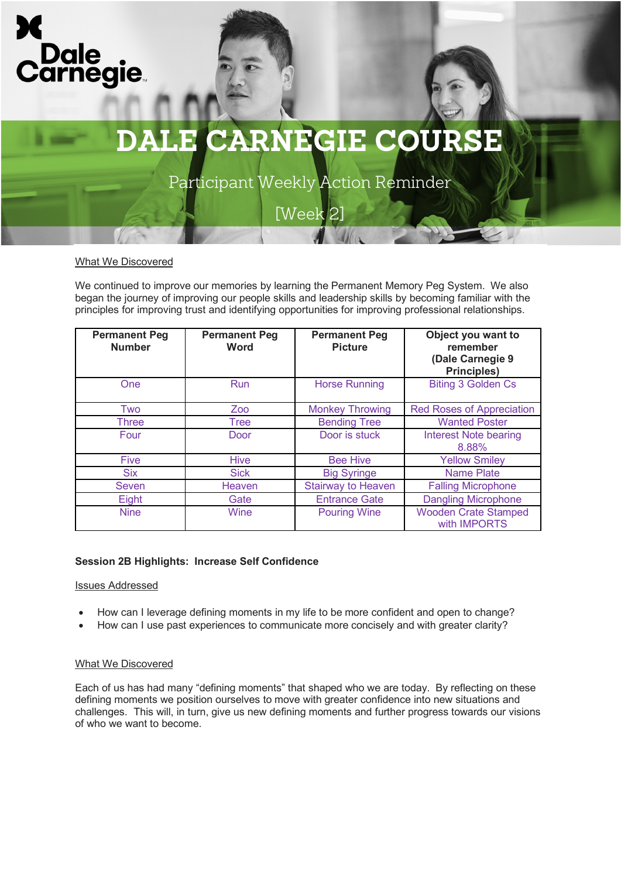



Participant Weekly Action Reminder

[Week 2]

#### What We Discovered

We continued to improve our memories by learning the Permanent Memory Peg System. We also began the journey of improving our people skills and leadership skills by becoming familiar with the principles for improving trust and identifying opportunities for improving professional relationships.

| <b>Permanent Peg</b><br><b>Number</b> | <b>Permanent Peg</b><br><b>Word</b> | <b>Permanent Peg</b><br><b>Picture</b> | Object you want to<br>remember<br>(Dale Carnegie 9<br><b>Principles)</b> |
|---------------------------------------|-------------------------------------|----------------------------------------|--------------------------------------------------------------------------|
| <b>One</b>                            | <b>Run</b>                          | <b>Horse Running</b>                   | <b>Biting 3 Golden Cs</b>                                                |
| Two                                   | Zoo                                 | <b>Monkey Throwing</b>                 | <b>Red Roses of Appreciation</b>                                         |
| Three                                 | Tree                                | <b>Bending Tree</b>                    | <b>Wanted Poster</b>                                                     |
| Four                                  | Door                                | Door is stuck                          | <b>Interest Note bearing</b><br>8.88%                                    |
| <b>Five</b>                           | <b>Hive</b>                         | <b>Bee Hive</b>                        | <b>Yellow Smiley</b>                                                     |
| <b>Six</b>                            | <b>Sick</b>                         | <b>Big Syringe</b>                     | <b>Name Plate</b>                                                        |
| <b>Seven</b>                          | Heaven                              | <b>Stairway to Heaven</b>              | <b>Falling Microphone</b>                                                |
| Eight                                 | Gate                                | <b>Entrance Gate</b>                   | <b>Dangling Microphone</b>                                               |
| <b>Nine</b>                           | Wine                                | <b>Pouring Wine</b>                    | <b>Wooden Crate Stamped</b><br>with IMPORTS                              |

### **Session 2B Highlights: Increase Self Confidence**

#### Issues Addressed

- How can I leverage defining moments in my life to be more confident and open to change?
- How can I use past experiences to communicate more concisely and with greater clarity?

#### What We Discovered

Each of us has had many "defining moments" that shaped who we are today. By reflecting on these defining moments we position ourselves to move with greater confidence into new situations and challenges. This will, in turn, give us new defining moments and further progress towards our visions of who we want to become.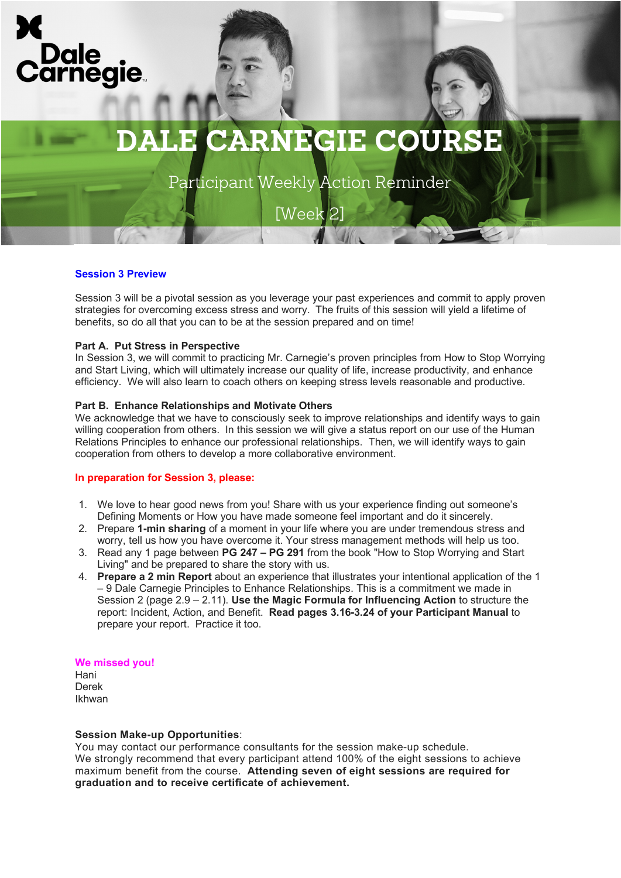

Participant Weekly Action Reminder

[Week 2]

#### **Session 3 Preview**

Session 3 will be a pivotal session as you leverage your past experiences and commit to apply proven strategies for overcoming excess stress and worry. The fruits of this session will yield a lifetime of benefits, so do all that you can to be at the session prepared and on time!

#### **Part A. Put Stress in Perspective**

In Session 3, we will commit to practicing Mr. Carnegie's proven principles from How to Stop Worrying and Start Living, which will ultimately increase our quality of life, increase productivity, and enhance efficiency. We will also learn to coach others on keeping stress levels reasonable and productive.

#### **Part B. Enhance Relationships and Motivate Others**

We acknowledge that we have to consciously seek to improve relationships and identify ways to gain willing cooperation from others. In this session we will give a status report on our use of the Human Relations Principles to enhance our professional relationships. Then, we will identify ways to gain cooperation from others to develop a more collaborative environment.

#### **In preparation for Session 3, please:**

- 1. We love to hear good news from you! Share with us your experience finding out someone's Defining Moments or How you have made someone feel important and do it sincerely.
- 2. Prepare **1-min sharing** of a moment in your life where you are under tremendous stress and worry, tell us how you have overcome it. Your stress management methods will help us too.
- 3. Read any 1 page between **PG 247 – PG 291** from the book "How to Stop Worrying and Start Living" and be prepared to share the story with us.
- 4. **Prepare a 2 min Report** about an experience that illustrates your intentional application of the 1 – 9 Dale Carnegie Principles to Enhance Relationships. This is a commitment we made in Session 2 (page 2.9 – 2.11). **Use the Magic Formula for Influencing Action** to structure the report: Incident, Action, and Benefit. **Read pages 3.16-3.24 of your Participant Manual** to prepare your report. Practice it too.

#### **We missed you!**

Hani Derek Ikhwan

#### **Session Make-up Opportunities**:

You may contact our performance consultants for the session make-up schedule. We strongly recommend that every participant attend 100% of the eight sessions to achieve maximum benefit from the course. **Attending seven of eight sessions are required for graduation and to receive certificate of achievement.**